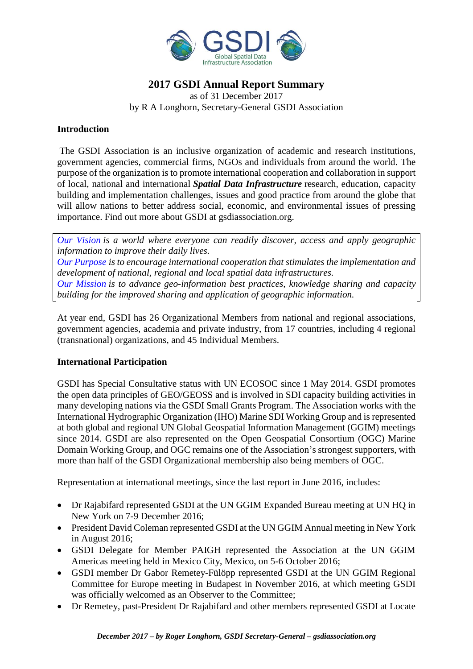

# **2017 GSDI Annual Report Summary**

as of 31 December 2017 by R A Longhorn, Secretary-General GSDI Association

### **Introduction**

The GSDI Association is an inclusive organization of academic and research institutions, government agencies, commercial firms, NGOs and individuals from around the world. The purpose of the organization is to promote international cooperation and collaboration in support of local, national and international *Spatial Data Infrastructure* research, education, capacity building and implementation challenges, issues and good practice from around the globe that will allow nations to better address social, economic, and environmental issues of pressing importance. Find out more about GSDI at gsdiassociation.org.

*Our Vision is a world where everyone can readily discover, access and apply geographic information to improve their daily lives.*

*Our Purpose is to encourage international cooperation that stimulates the implementation and development of national, regional and local spatial data infrastructures.*

*Our Mission is to advance geo-information best practices, knowledge sharing and capacity building for the improved sharing and application of geographic information.*

At year end, GSDI has 26 Organizational Members from national and regional associations, government agencies, academia and private industry, from 17 countries, including 4 regional (transnational) organizations, and 45 Individual Members.

## **International Participation**

GSDI has Special Consultative status with UN ECOSOC since 1 May 2014. GSDI promotes the open data principles of GEO/GEOSS and is involved in SDI capacity building activities in many developing nations via the GSDI Small Grants Program. The Association works with the International Hydrographic Organization (IHO) Marine SDI Working Group and is represented at both global and regional UN Global Geospatial Information Management (GGIM) meetings since 2014. GSDI are also represented on the Open Geospatial Consortium (OGC) Marine Domain Working Group, and OGC remains one of the Association's strongest supporters, with more than half of the GSDI Organizational membership also being members of OGC.

Representation at international meetings, since the last report in June 2016, includes:

- Dr Rajabifard represented GSDI at the UN GGIM Expanded Bureau meeting at UN HQ in New York on 7-9 December 2016;
- President David Coleman represented GSDI at the UN GGIM Annual meeting in New York in August 2016;
- GSDI Delegate for Member PAIGH represented the Association at the UN GGIM Americas meeting held in Mexico City, Mexico, on 5-6 October 2016;
- GSDI member Dr Gabor Remetey-Fülöpp represented GSDI at the UN GGIM Regional Committee for Europe meeting in Budapest in November 2016, at which meeting GSDI was officially welcomed as an Observer to the Committee;
- Dr Remetey, past-President Dr Rajabifard and other members represented GSDI at Locate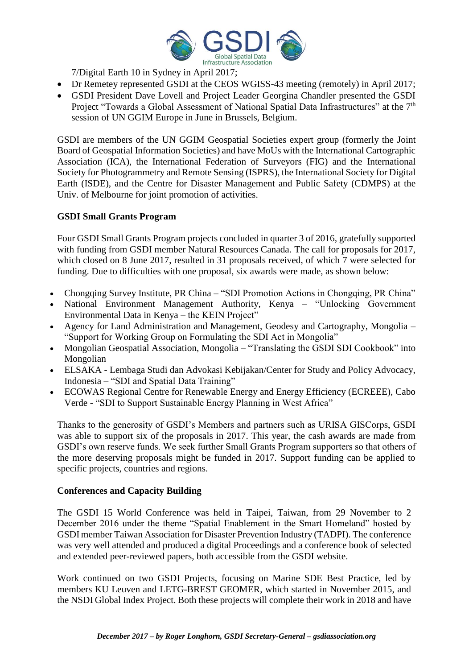

7/Digital Earth 10 in Sydney in April 2017;

- Dr Remetey represented GSDI at the CEOS WGISS-43 meeting (remotely) in April 2017:
- GSDI President Dave Lovell and Project Leader Georgina Chandler presented the GSDI Project "Towards a Global Assessment of National Spatial Data Infrastructures" at the 7<sup>th</sup> session of UN GGIM Europe in June in Brussels, Belgium.

GSDI are members of the UN GGIM Geospatial Societies expert group (formerly the Joint Board of Geospatial Information Societies) and have MoUs with the International Cartographic Association (ICA), the International Federation of Surveyors (FIG) and the International Society for Photogrammetry and Remote Sensing (ISPRS), the International Society for Digital Earth (ISDE), and the Centre for Disaster Management and Public Safety (CDMPS) at the Univ. of Melbourne for joint promotion of activities.

#### **GSDI Small Grants Program**

Four GSDI Small Grants Program projects concluded in quarter 3 of 2016, gratefully supported with funding from GSDI member Natural Resources Canada. The call for proposals for 2017, which closed on 8 June 2017, resulted in 31 proposals received, of which 7 were selected for funding. Due to difficulties with one proposal, six awards were made, as shown below:

- Chongqing Survey Institute, PR China "SDI Promotion Actions in Chongqing, PR China"
- National Environment Management Authority, Kenya "Unlocking Government Environmental Data in Kenya – the KEIN Project"
- Agency for Land Administration and Management, Geodesy and Cartography, Mongolia "Support for Working Group on Formulating the SDI Act in Mongolia"
- Mongolian Geospatial Association, Mongolia "Translating the GSDI SDI Cookbook" into Mongolian
- ELSAKA Lembaga Studi dan Advokasi Kebijakan/Center for Study and Policy Advocacy, Indonesia – "SDI and Spatial Data Training"
- ECOWAS Regional Centre for Renewable Energy and Energy Efficiency (ECREEE), Cabo Verde - "SDI to Support Sustainable Energy Planning in West Africa"

Thanks to the generosity of GSDI's Members and partners such as URISA GISCorps, GSDI was able to support six of the proposals in 2017. This year, the cash awards are made from GSDI's own reserve funds. We seek further Small Grants Program supporters so that others of the more deserving proposals might be funded in 2017. Support funding can be applied to specific projects, countries and regions.

## **Conferences and Capacity Building**

The GSDI 15 World Conference was held in Taipei, Taiwan, from 29 November to 2 December 2016 under the theme "Spatial Enablement in the Smart Homeland" hosted by GSDI member Taiwan Association for Disaster Prevention Industry (TADPI). The conference was very well attended and produced a digital Proceedings and a conference book of selected and extended peer-reviewed papers, both accessible from the GSDI website.

Work continued on two GSDI Projects, focusing on Marine SDE Best Practice, led by members KU Leuven and LETG-BREST GEOMER, which started in November 2015, and the NSDI Global Index Project. Both these projects will complete their work in 2018 and have